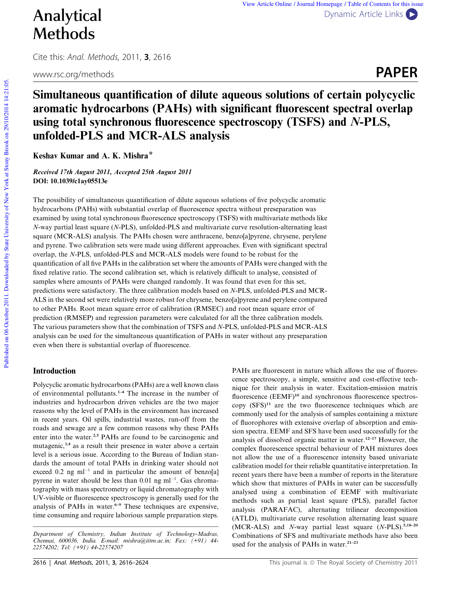Cite this: Anal. Methods, 2011, 3, 2616

www.rsc.org/methods **PAPER** 

# Simultaneous quantification of dilute aqueous solutions of certain polycyclic aromatic hydrocarbons (PAHs) with significant fluorescent spectral overlap using total synchronous fluorescence spectroscopy (TSFS) and N-PLS, unfolded-PLS and MCR-ALS analysis

Keshav Kumar and A. K. Mishra\*

Received 17th August 2011, Accepted 25th August 2011 DOI: 10.1039/c1ay05513e

The possibility of simultaneous quantification of dilute aqueous solutions of five polycyclic aromatic hydrocarbons (PAHs) with substantial overlap of fluorescence spectra without preseparation was examined by using total synchronous fluorescence spectroscopy (TSFS) with multivariate methods like *N*-way partial least square (*N*-PLS), unfolded-PLS and multivariate curve resolution-alternating least square (MCR-ALS) analysis. The PAHs chosen were anthracene, benzo[a]pyrene, chrysene, perylene and pyrene. Two calibration sets were made using different approaches. Even with significant spectral overlap, the *N*-PLS, unfolded-PLS and MCR-ALS models were found to be robust for the quantification of all five PAHs in the calibration set where the amounts of PAHs were changed with the fixed relative ratio. The second calibration set, which is relatively difficult to analyse, consisted of samples where amounts of PAHs were changed randomly. It was found that even for this set, predictions were satisfactory. The three calibration models based on *N*-PLS, unfolded-PLS and MCR-ALS in the second set were relatively more robust for chrysene, benzo[a]pyrene and perylene compared to other PAHs. Root mean square error of calibration (RMSEC) and root mean square error of prediction (RMSEP) and regression parameters were calculated for all the three calibration models. The various parameters show that the combination of TSFS and *N*-PLS, unfolded-PLS and MCR-ALS analysis can be used for the simultaneous quantification of PAHs in water without any preseparation even when there is substantial overlap of fluorescence.

# Introduction

Polycyclic aromatic hydrocarbons (PAHs) are a well known class of environmental pollutants.1–4 The increase in the number of industries and hydrocarbon driven vehicles are the two major reasons why the level of PAHs in the environment has increased in recent years. Oil spills, industrial wastes, run-off from the roads and sewage are a few common reasons why these PAHs enter into the water.<sup>2,5</sup> PAHs are found to be carcinogenic and mutagenic,<sup>3,4</sup> as a result their presence in water above a certain level is a serious issue. According to the Bureau of Indian standards the amount of total PAHs in drinking water should not exceed 0.2 ng ml<sup>-1</sup> and in particular the amount of benzo[a] pyrene in water should be less than  $0.01$  ng ml<sup>-1</sup>. Gas chromatography with mass spectrometry or liquid chromatography with UV-visible or fluorescence spectroscopy is generally used for the analysis of PAHs in water. $6-9$  These techniques are expensive, time consuming and require laborious sample preparation steps.

PAHs are fluorescent in nature which allows the use of fluorescence spectroscopy, a simple, sensitive and cost-effective technique for their analysis in water. Excitation-emission matrix fluorescence (EEMF)<sup>10</sup> and synchronous fluorescence spectroscopy  $(SFS)^{11}$  are the two fluorescence techniques which are commonly used for the analysis of samples containing a mixture of fluorophores with extensive overlap of absorption and emission spectra. EEMF and SFS have been used successfully for the analysis of dissolved organic matter in water.12–17 However, the complex fluorescence spectral behaviour of PAH mixtures does not allow the use of a fluorescence intensity based univariate calibration model for their reliable quantitative interpretation. In recent years there have been a number of reports in the literature which show that mixtures of PAHs in water can be successfully analysed using a combination of EEMF with multivariate methods such as partial least square (PLS), parallel factor analysis (PARAFAC), alternating trilinear decomposition (ATLD), multivariate curve resolution alternating least square (MCR-ALS) and *N*-way partial least square (*N*-PLS).<sup>5,18-20</sup> Combinations of SFS and multivariate methods have also been used for the analysis of PAHs in water.<sup>21-23</sup>

*Department of Chemistry, Indian Institute of Technology-Madras, Chennai, 600036, India. E-mail: mishra@iitm.ac.in; Fax: (+91) 44- 22574202; Tel: (+91) 44-22574207*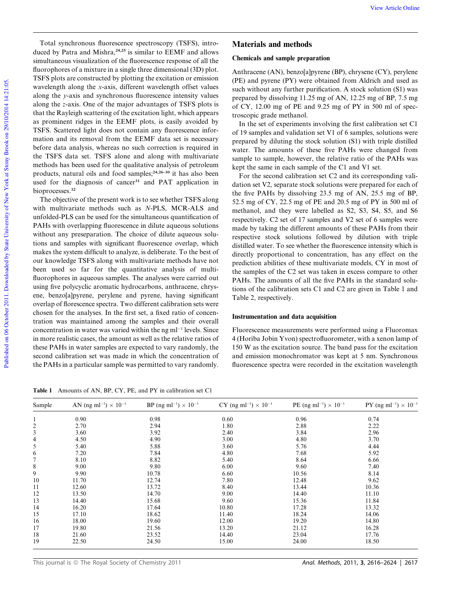Total synchronous fluorescence spectroscopy (TSFS), introduced by Patra and Mishra,<sup>24,25</sup> is similar to EEMF and allows simultaneous visualization of the fluorescence response of all the fluorophores of a mixture in a single three dimensional (3D) plot. TSFS plots are constructed by plotting the excitation or emission wavelength along the *x*-axis, different wavelength offset values along the *y*-axis and synchronous fluorescence intensity values along the *z*-axis. One of the major advantages of TSFS plots is that the Rayleigh scattering of the excitation light, which appears as prominent ridges in the EEMF plots, is easily avoided by TSFS. Scattered light does not contain any fluorescence information and its removal from the EEMF data set is necessary before data analysis, whereas no such correction is required in the TSFS data set. TSFS alone and along with multivariate methods has been used for the qualitative analysis of petroleum products, natural oils and food samples;<sup>24,26-30</sup> it has also been used for the diagnosis of cancer<sup>31</sup> and PAT application in bioprocesses.<sup>32</sup>

The objective of the present work is to see whether TSFS along with multivariate methods such as *N*-PLS, MCR-ALS and unfolded-PLS can be used for the simultaneous quantification of PAHs with overlapping fluorescence in dilute aqueous solutions without any preseparation. The choice of dilute aqueous solutions and samples with significant fluorescence overlap, which makes the system difficult to analyze, is deliberate. To the best of our knowledge TSFS along with multivariate methods have not been used so far for the quantitative analysis of multifluorophores in aqueous samples. The analyses were carried out using five polycyclic aromatic hydrocarbons, anthracene, chrysene, benzo[a]pyrene, perylene and pyrene, having significant overlap of florescence spectra. Two different calibration sets were chosen for the analyses. In the first set, a fixed ratio of concentration was maintained among the samples and their overall concentration in water was varied within the  $ng$  m $l^{-1}$  levels. Since in more realistic cases, the amount as well as the relative ratios of these PAHs in water samples are expected to vary randomly, the second calibration set was made in which the concentration of the PAHs in a particular sample was permitted to vary randomly.

Table 1 Amounts of AN, BP, CY, PE, and PY in calibration set C1

### Materials and methods

#### Chemicals and sample preparation

Anthracene (AN), benzo[a]pyrene (BP), chrysene (CY), perylene (PE) and pyrene (PY) were obtained from Aldrich and used as such without any further purification. A stock solution (S1) was prepared by dissolving 11.25 mg of AN, 12.25 mg of BP, 7.5 mg of CY, 12.00 mg of PE and 9.25 mg of PY in 500 ml of spectroscopic grade methanol.

In the set of experiments involving the first calibration set C1 of 19 samples and validation set V1 of 6 samples, solutions were prepared by diluting the stock solution (S1) with triple distilled water. The amounts of these five PAHs were changed from sample to sample, however, the relative ratio of the PAHs was kept the same in each sample of the C1 and V1 set.

For the second calibration set C2 and its corresponding validation set V2, separate stock solutions were prepared for each of the five PAHs by dissolving 23.5 mg of AN, 25.5 mg of BP, 52.5 mg of CY, 22.5 mg of PE and 20.5 mg of PY in 500 ml of methanol, and they were labelled as S2, S3, S4, S5, and S6 respectively. C2 set of 17 samples and V2 set of 6 samples were made by taking the different amounts of these PAHs from their respective stock solutions followed by dilution with triple distilled water. To see whether the fluorescence intensity which is directly proportional to concentration, has any effect on the prediction abilities of these multivariate models, CY in most of the samples of the C2 set was taken in excess compare to other PAHs. The amounts of all the five PAHs in the standard solutions of the calibration sets C1 and C2 are given in Table 1 and Table 2, respectively.

#### Instrumentation and data acquisition

Fluorescence measurements were performed using a Fluoromax 4 (Horiba Jobin Yvon) spectrofluorometer, with a xenon lamp of 150 W as the excitation source. The band pass for the excitation and emission monochromator was kept at 5 nm. Synchronous fluorescence spectra were recorded in the excitation wavelength

| Sample | AN (ng ml <sup>-1</sup> ) $\times$ 10 <sup>-1</sup> | BP (ng ml <sup>-1</sup> ) $\times$ 10 <sup>-1</sup> | $CY$ (ng ml <sup>-1</sup> ) $\times$ 10 <sup>-1</sup> | PE (ng ml <sup>-1</sup> ) $\times$ 10 <sup>-1</sup> | PY (ng ml <sup>-1</sup> ) $\times$ 10 <sup>-1</sup> |
|--------|-----------------------------------------------------|-----------------------------------------------------|-------------------------------------------------------|-----------------------------------------------------|-----------------------------------------------------|
|        | 0.90                                                | 0.98                                                | 0.60                                                  | 0.96                                                | 0.74                                                |
|        | 2.70                                                | 2.94                                                | 1.80                                                  | 2.88                                                | 2.22                                                |
|        | 3.60                                                | 3.92                                                | 2.40                                                  | 3.84                                                | 2.96                                                |
|        | 4.50                                                | 4.90                                                | 3.00                                                  | 4.80                                                | 3.70                                                |
| 5      | 5.40                                                | 5.88                                                | 3.60                                                  | 5.76                                                | 4.44                                                |
| 6      | 7.20                                                | 7.84                                                | 4.80                                                  | 7.68                                                | 5.92                                                |
|        | 8.10                                                | 8.82                                                | 5.40                                                  | 8.64                                                | 6.66                                                |
| 8      | 9.00                                                | 9.80                                                | 6.00                                                  | 9.60                                                | 7.40                                                |
| 9      | 9.90                                                | 10.78                                               | 6.60                                                  | 10.56                                               | 8.14                                                |
| 10     | 11.70                                               | 12.74                                               | 7.80                                                  | 12.48                                               | 9.62                                                |
| 11     | 12.60                                               | 13.72                                               | 8.40                                                  | 13.44                                               | 10.36                                               |
| 12     | 13.50                                               | 14.70                                               | 9.00                                                  | 14.40                                               | 11.10                                               |
| 13     | 14.40                                               | 15.68                                               | 9.60                                                  | 15.36                                               | 11.84                                               |
| 14     | 16.20                                               | 17.64                                               | 10.80                                                 | 17.28                                               | 13.32                                               |
| 15     | 17.10                                               | 18.62                                               | 11.40                                                 | 18.24                                               | 14.06                                               |
| 16     | 18.00                                               | 19.60                                               | 12.00                                                 | 19.20                                               | 14.80                                               |
| 17     | 19.80                                               | 21.56                                               | 13.20                                                 | 21.12                                               | 16.28                                               |
| 18     | 21.60                                               | 23.52                                               | 14.40                                                 | 23.04                                               | 17.76                                               |
| 19     | 22.50                                               | 24.50                                               | 15.00                                                 | 24.00                                               | 18.50                                               |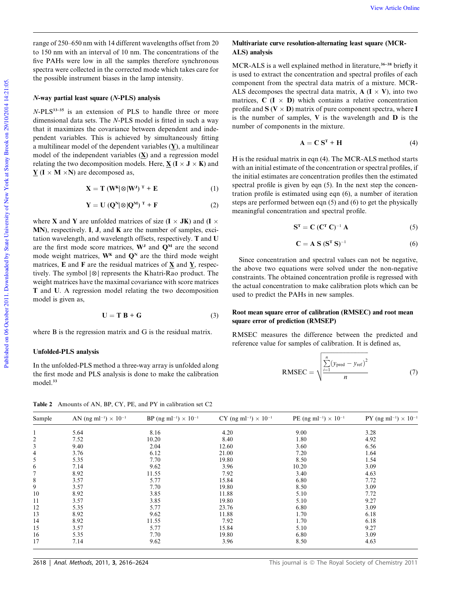range of 250–650 nm with 14 different wavelengths offset from 20 to 150 nm with an interval of 10 nm. The concentrations of the five PAHs were low in all the samples therefore synchronous spectra were collected in the corrected mode which takes care for the possible instrument biases in the lamp intensity.

#### N-way partial least square (N-PLS) analysis

*N*-PLS33–35 is an extension of PLS to handle three or more dimensional data sets. The *N*-PLS model is fitted in such a way that it maximizes the covariance between dependent and independent variables. This is achieved by simultaneously fitting a multilinear model of the dependent variables  $(Y)$ , a multilinear model of the independent variables (X) and a regression model relating the two decomposition models. Here,  $X (I \times J \times K)$  and  $\underline{Y}$  ( $I \times M \times N$ ) are decomposed as,

$$
\mathbf{X} = \mathbf{T} \left( \mathbf{W}^{\mathbf{K}} \middle| \otimes \middle| \mathbf{W}^{\mathbf{J}} \right) \mathbf{I} + \mathbf{E} \tag{1}
$$

$$
Y = U (QN | QM)T + F
$$
 (2)

where **X** and **Y** are unfolded matrices of size ( $I \times JK$ ) and ( $I \times$ MN), respectively. I, J, and K are the number of samples, excitation wavelength, and wavelength offsets, respectively. T and U are the first mode score matrices,  $W<sup>J</sup>$  and  $Q<sup>M</sup>$  are the second mode weight matrices,  $W^k$  and  $Q^N$  are the third mode weight matrices, E and F are the residual matrices of  $\underline{X}$  and  $\underline{Y}$ , respectively. The symbol  $|\otimes|$  represents the Khatri-Rao product. The weight matrices have the maximal covariance with score matrices T and U. A regression model relating the two decomposition model is given as,

$$
\mathbf{U} = \mathbf{T} \ \mathbf{B} + \mathbf{G} \tag{3}
$$

where B is the regression matrix and G is the residual matrix.

#### Unfolded-PLS analysis

In the unfolded-PLS method a three-way array is unfolded along the first mode and PLS analysis is done to make the calibration model.<sup>33</sup>

Table 2 Amounts of AN, BP, CY, PE, and PY in calibration set C2

### Multivariate curve resolution-alternating least square (MCR-ALS) analysis

MCR-ALS is a well explained method in literature,<sup>36-38</sup> briefly it is used to extract the concentration and spectral profiles of each component from the spectral data matrix of a mixture. MCR-ALS decomposes the spectral data matrix,  $\mathbf{A}$  ( $\mathbf{I} \times \mathbf{V}$ ), into two matrices,  $C$  ( $I \times D$ ) which contains a relative concentration profile and  $S (V \times D)$  matrix of pure component spectra, where I is the number of samples,  $V$  is the wavelength and  $D$  is the number of components in the mixture.

$$
\mathbf{A} = \mathbf{C} \ \mathbf{S}^{\mathrm{T}} + \mathbf{H} \tag{4}
$$

H is the residual matrix in eqn (4). The MCR-ALS method starts with an initial estimate of the concentration or spectral profiles, if the initial estimates are concentration profiles then the estimated spectral profile is given by eqn (5). In the next step the concentration profile is estimated using eqn (6), a number of iteration steps are performed between eqn (5) and (6) to get the physically meaningful concentration and spectral profile.

$$
\mathbf{S}^{\mathrm{T}} = \mathbf{C} \ (\mathbf{C}^{\mathrm{T}} \ \mathbf{C})^{-1} \mathbf{A} \tag{5}
$$

$$
\mathbf{C} = \mathbf{A} \mathbf{S} \, (\mathbf{S}^{\mathrm{T}} \, \mathbf{S})^{-1} \tag{6}
$$

Since concentration and spectral values can not be negative, the above two equations were solved under the non-negative constraints. The obtained concentration profile is regressed with the actual concentration to make calibration plots which can be used to predict the PAHs in new samples.

#### Root mean square error of calibration (RMSEC) and root mean square error of prediction (RMSEP)

RMSEC measures the difference between the predicted and reference value for samples of calibration. It is defined as,

$$
RMSEC = \sqrt{\frac{\sum_{i=1}^{n} (y_{pred} - y_{ref})^2}{n}}
$$
 (7)

| Sample | AN (ng ml <sup>-1</sup> ) $\times$ 10 <sup>-1</sup> | BP (ng ml <sup>-1</sup> ) $\times$ 10 <sup>-1</sup> | $CY$ (ng ml <sup>-1</sup> ) $\times 10^{-1}$ | PE (ng ml <sup>-1</sup> ) $\times$ 10 <sup>-1</sup> | PY (ng ml <sup>-1</sup> ) $\times$ 10 <sup>-1</sup> |
|--------|-----------------------------------------------------|-----------------------------------------------------|----------------------------------------------|-----------------------------------------------------|-----------------------------------------------------|
| 1      | 5.64                                                | 8.16                                                | 4.20                                         | 9.00                                                | 3.28                                                |
| 2      | 7.52                                                | 10.20                                               | 8.40                                         | 1.80                                                | 4.92                                                |
| 3      | 9.40                                                | 2.04                                                | 12.60                                        | 3.60                                                | 6.56                                                |
| 4      | 3.76                                                | 6.12                                                | 21.00                                        | 7.20                                                | 1.64                                                |
| 5      | 5.35                                                | 7.70                                                | 19.80                                        | 8.50                                                | 1.54                                                |
| 6      | 7.14                                                | 9.62                                                | 3.96                                         | 10.20                                               | 3.09                                                |
| 7      | 8.92                                                | 11.55                                               | 7.92                                         | 3.40                                                | 4.63                                                |
| 8      | 3.57                                                | 5.77                                                | 15.84                                        | 6.80                                                | 7.72                                                |
| 9      | 3.57                                                | 7.70                                                | 19.80                                        | 8.50                                                | 3.09                                                |
| 10     | 8.92                                                | 3.85                                                | 11.88                                        | 5.10                                                | 7.72                                                |
| 11     | 3.57                                                | 3.85                                                | 19.80                                        | 5.10                                                | 9.27                                                |
| 12     | 5.35                                                | 5.77                                                | 23.76                                        | 6.80                                                | 3.09                                                |
| 13     | 8.92                                                | 9.62                                                | 11.88                                        | 1.70                                                | 6.18                                                |
| 14     | 8.92                                                | 11.55                                               | 7.92                                         | 1.70                                                | 6.18                                                |
| 15     | 3.57                                                | 5.77                                                | 15.84                                        | 5.10                                                | 9.27                                                |
| 16     | 5.35                                                | 7.70                                                | 19.80                                        | 6.80                                                | 3.09                                                |
| 17     | 7.14                                                | 9.62                                                | 3.96                                         | 8.50                                                | 4.63                                                |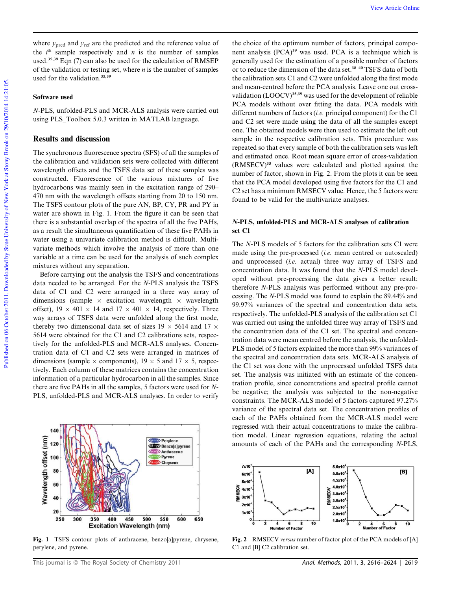where *y*<sub>pred</sub> and *y*<sub>ref</sub> are the predicted and the reference value of the  $i<sup>th</sup>$  sample respectively and *n* is the number of samples used.35,39 Eqn (7) can also be used for the calculation of RMSEP of the validation or testing set, where *n* is the number of samples used for the validation.<sup>35,39</sup>

#### Software used

140

120

100

80

60

40

20

250

**Navelength offset (nm)** 

*N*-PLS, unfolded-PLS and MCR-ALS analysis were carried out using PLS\_Toolbox 5.0.3 written in MATLAB language.

# Results and discussion

The synchronous fluorescence spectra (SFS) of all the samples of the calibration and validation sets were collected with different wavelength offsets and the TSFS data set of these samples was constructed. Fluorescence of the various mixtures of five hydrocarbons was mainly seen in the excitation range of 290– 470 nm with the wavelength offsets starting from 20 to 150 nm. The TSFS contour plots of the pure AN, BP, CY, PR and PY in water are shown in Fig. 1. From the figure it can be seen that there is a substantial overlap of the spectra of all the five PAHs, as a result the simultaneous quantification of these five PAHs in water using a univariate calibration method is difficult. Multivariate methods which involve the analysis of more than one variable at a time can be used for the analysis of such complex mixtures without any separation.

Before carrying out the analysis the TSFS and concentrations data needed to be arranged. For the *N*-PLS analysis the TSFS data of C1 and C2 were arranged in a three way array of dimensions (sample  $\times$  excitation wavelength  $\times$  wavelength offset),  $19 \times 401 \times 14$  and  $17 \times 401 \times 14$ , respectively. Three way arrays of TSFS data were unfolded along the first mode, thereby two dimensional data set of sizes 19  $\times$  5614 and 17  $\times$ 5614 were obtained for the C1 and C2 calibrations sets, respectively for the unfolded-PLS and MCR-ALS analyses. Concentration data of C1 and C2 sets were arranged in matrices of dimensions (sample  $\times$  components), 19  $\times$  5 and 17  $\times$  5, respectively. Each column of these matrices contains the concentration information of a particular hydrocarbon in all the samples. Since there are five PAHs in all the samples, 5 factors were used for *N*-PLS, unfolded-PLS and MCR-ALS analyses. In order to verify

**D** Perylene

Chryser

550

600

650

**SED** Benzo[a]pyrene **Anthracene** Pyrene



450

**Excitation Wavelength (nm)** 

500

400

350

300

the choice of the optimum number of factors, principal component analysis (PCA)<sup>39</sup> was used. PCA is a technique which is generally used for the estimation of a possible number of factors or to reduce the dimension of the data set.<sup>38–40</sup> TSFS data of both the calibration sets C1 and C2 were unfolded along the first mode and mean-centred before the PCA analysis. Leave one out crossvalidation (LOOCV)<sup>35,39</sup> was used for the development of reliable PCA models without over fitting the data. PCA models with different numbers of factors (*i.e.* principal component) for the C1 and C2 set were made using the data of all the samples except one. The obtained models were then used to estimate the left out sample in the respective calibration sets. This procedure was repeated so that every sample of both the calibration sets was left and estimated once. Root mean square error of cross-validation (RMSECV)<sup>35</sup> values were calculated and plotted against the number of factor, shown in Fig. 2. From the plots it can be seen that the PCA model developed using five factors for the C1 and C2 set has a minimum RMSECV value. Hence, the 5 factors were found to be valid for the multivariate analyses.

# N-PLS, unfolded-PLS and MCR-ALS analyses of calibration set C1

The *N*-PLS models of 5 factors for the calibration sets C1 were made using the pre-processed (*i.e.* mean centred or autoscaled) and unprocessed (*i.e.* actual) three way array of TSFS and concentration data. It was found that the *N*-PLS model developed without pre-processing the data gives a better result; therefore *N*-PLS analysis was performed without any pre-processing. The *N*-PLS model was found to explain the 89.44% and 99.97% variances of the spectral and concentration data sets, respectively. The unfolded-PLS analysis of the calibration set C1 was carried out using the unfolded three way array of TSFS and the concentration data of the C1 set. The spectral and concentration data were mean centred before the analysis, the unfolded-PLS model of 5 factors explained the more than 99% variances of the spectral and concentration data sets. MCR-ALS analysis of the C1 set was done with the unprocessed unfolded TSFS data set. The analysis was initiated with an estimate of the concentration profile, since concentrations and spectral profile cannot be negative; the analysis was subjected to the non-negative constraints. The MCR-ALS model of 5 factors captured 97.27% variance of the spectral data set. The concentration profiles of each of the PAHs obtained from the MCR-ALS model were regressed with their actual concentrations to make the calibration model. Linear regression equations, relating the actual amounts of each of the PAHs and the corresponding *N*-PLS,



Fig. 2 RMSECV *versus* number of factor plot of the PCA models of [A] C1 and [B] C2 calibration set.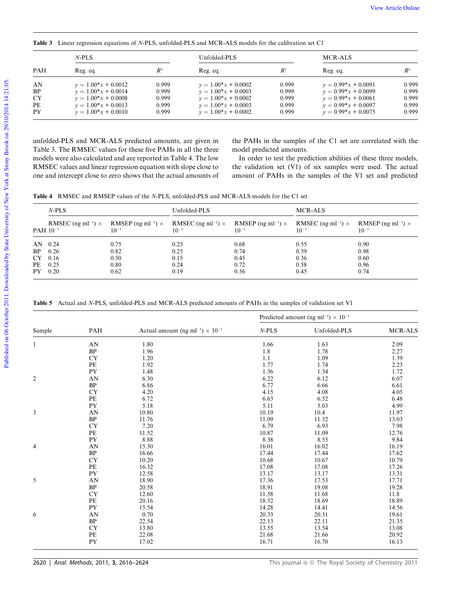Table 3 Linear regression equations of *N*-PLS, unfolded-PLS and MCR-ALS models for the calibration set C1

|            | $N$ -PLS                |       | Unfolded-PLS            |       | MCR-ALS                 |       |
|------------|-------------------------|-------|-------------------------|-------|-------------------------|-------|
| <b>PAH</b> | Reg. eq.                | $R^2$ | Reg. eq.                | $R^2$ | Reg. eq.                | $R^2$ |
| AN         | $v = 1.00 * x + 0.0012$ | 0.999 | $v = 1.00 * x + 0.0002$ | 0.999 | $v = 0.99 * x + 0.0091$ | 0.999 |
| BP         | $v = 1.00 * x + 0.0014$ | 0.999 | $v = 1.00 * x + 0.0003$ | 0.999 | $v = 0.99 * x + 0.0099$ | 0.999 |
| <b>CY</b>  | $v = 1.00 * x + 0.0008$ | 0.999 | $v = 1.00 * x + 0.0002$ | 0.999 | $v = 0.99 * x + 0.0061$ | 0.999 |
| <b>PE</b>  | $y = 1.00 * x + 0.0013$ | 0.999 | $v = 1.00 * x + 0.0003$ | 0.999 | $v = 0.99 * x + 0.0097$ | 0.999 |
| PY         | $v = 1.00 * x + 0.0010$ | 0.999 | $v = 1.00 * x + 0.0002$ | 0.999 | $v = 0.99 * x + 0.0075$ | 0.999 |

unfolded-PLS and MCR-ALS predicted amounts, are given in Table 3. The RMSEC values for these five PAHs in all the three models were also calculated and are reported in Table 4. The low RMSEC values and linear regression equation with slope close to one and intercept close to zero shows that the actual amounts of the PAHs in the samples of the C1 set are correlated with the model predicted amounts.

In order to test the prediction abilities of these three models, the validation set (V1) of six samples were used. The actual amount of PAHs in the samples of the V1 set and predicted

Table 4 RMSEC and RMSEP values of the *N*-PLS, unfolded-PLS and MCR-ALS models for the C1 set

|                        | $N$ -PLS     |              | Unfolded-PLS                                                                                                                                                                                                                                     |              | <b>MCR-ALS</b> |              |
|------------------------|--------------|--------------|--------------------------------------------------------------------------------------------------------------------------------------------------------------------------------------------------------------------------------------------------|--------------|----------------|--------------|
| $PAH$ 10 <sup>-1</sup> |              | $10^{-1}$    | RMSEC (ng ml <sup>-1</sup> ) $\times$ RMSEP (ng ml <sup>-1</sup> ) $\times$ RMSEC (ng ml <sup>-1</sup> ) $\times$ RMSEP (ng ml <sup>-1</sup> ) $\times$ RMSEC (ng ml <sup>-1</sup> ) $\times$ RMSEP (ng ml <sup>-1</sup> ) $\times$<br>$10^{-1}$ | $10^{-1}$    | $10^{-1}$      | $10^{-1}$    |
| $AN$ 0.24              |              | 0.75         | 0.23                                                                                                                                                                                                                                             | 0.68         | 0.55           | 0.90         |
| BP.<br><b>CY</b>       | 0.26<br>0.16 | 0.82<br>0.50 | 0.25<br>0.15                                                                                                                                                                                                                                     | 0.74<br>0.45 | 0.59<br>0.36   | 0.98<br>0.60 |
| PE.<br>PY.             | 0.25<br>0.20 | 0.80<br>0.62 | 0.24<br>0.19                                                                                                                                                                                                                                     | 0.72<br>0.56 | 0.58<br>0.45   | 0.96<br>0.74 |

Table 5 Actual and *N*-PLS, unfolded-PLS and MCR-ALS predicted amounts of PAHs in the samples of validation set V1

|                |           |                                                                | Predicted amount (ng ml <sup>-1</sup> ) $\times$ 10 <sup>-1</sup> |              |         |
|----------------|-----------|----------------------------------------------------------------|-------------------------------------------------------------------|--------------|---------|
| Sample         | PAH       | Actual amount (ng ml <sup>-1</sup> ) $\times$ 10 <sup>-1</sup> | $N$ -PLS                                                          | Unfolded-PLS | MCR-ALS |
| 1              | AN        | 1.80                                                           | 1.66                                                              | 1.63         | 2.09    |
|                | BP        | 1.96                                                           | $1.8\,$                                                           | 1.78         | 2.27    |
|                | <b>CY</b> | 1.20                                                           | 1.1                                                               | 1.09         | 1.39    |
|                | PE        | 1.92                                                           | 1.77                                                              | 1.74         | 2.23    |
|                | PY        | 1.48                                                           | 1.36                                                              | 1.34         | 1.72    |
| $\overline{c}$ | AN        | 6.30                                                           | 6.22                                                              | 6.12         | 6.07    |
|                | <b>BP</b> | 6.86                                                           | 6.77                                                              | 6.66         | 6.61    |
|                | <b>CY</b> | 4.20                                                           | 4.15                                                              | 4.08         | 4.05    |
|                | PE        | 6.72                                                           | 6.63                                                              | 6.52         | 6.48    |
|                | PY        | 5.18                                                           | 5.11                                                              | 5.03         | 4.99    |
| 3              | AN        | 10.80                                                          | 10.19                                                             | 10.4         | 11.97   |
|                | <b>BP</b> | 11.76                                                          | 11.09                                                             | 11.32        | 13.03   |
|                | <b>CY</b> | 7.20                                                           | 6.79                                                              | 6.93         | 7.98    |
|                | PE        | 11.52                                                          | 10.87                                                             | 11.09        | 12.76   |
|                | PY        | 8.88                                                           | 8.38                                                              | 8.55         | 9.84    |
| 4              | AN        | 15.30                                                          | 16.01                                                             | 16.02        | 16.19   |
|                | $\rm BP$  | 16.66                                                          | 17.44                                                             | 17.44        | 17.62   |
|                | <b>CY</b> | 10.20                                                          | 10.68                                                             | 10.67        | 10.79   |
|                | $\rm PE$  | 16.32                                                          | 17.08                                                             | 17.08        | 17.26   |
|                | PY        | 12.58                                                          | 13.17                                                             | 13.17        | 13.31   |
| 5              | AN        | 18.90                                                          | 17.36                                                             | 17.53        | 17.71   |
|                | BP        | 20.58                                                          | 18.91                                                             | 19.08        | 19.28   |
|                | <b>CY</b> | 12.60                                                          | 11.58                                                             | 11.68        | 11.8    |
|                | $\rm PE$  | 20.16                                                          | 18.52                                                             | 18.69        | 18.89   |
|                | PY        | 15.54                                                          | 14.28                                                             | 14.41        | 14.56   |
| 6              | AN        | 0.70                                                           | 20.33                                                             | 20.31        | 19.61   |
|                | <b>BP</b> | 22.54                                                          | 22.13                                                             | 22.11        | 21.35   |
|                | <b>CY</b> | 13.80                                                          | 13.55                                                             | 13.54        | 13.08   |
|                | PE        | 22.08                                                          | 21.68                                                             | 21.66        | 20.92   |
|                | PY        | 17.02                                                          | 16.71                                                             | 16.70        | 16.13   |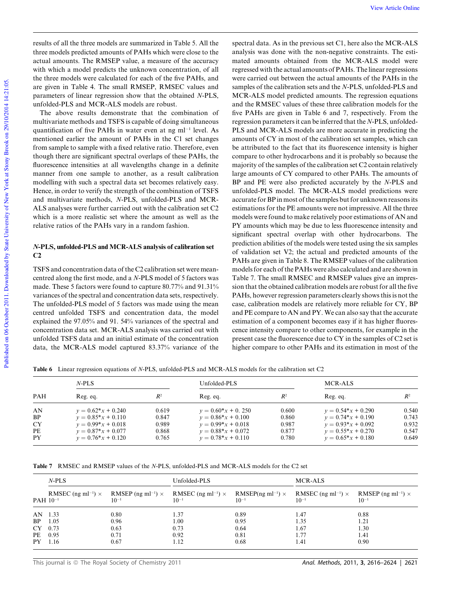results of all the three models are summarized in Table 5. All the three models predicted amounts of PAHs which were close to the actual amounts. The RMSEP value, a measure of the accuracy with which a model predicts the unknown concentration, of all the three models were calculated for each of the five PAHs, and are given in Table 4. The small RMSEP, RMSEC values and parameters of linear regression show that the obtained *N*-PLS, unfolded-PLS and MCR-ALS models are robust.

The above results demonstrate that the combination of multivariate methods and TSFS is capable of doing simultaneous quantification of five PAHs in water even at ng  $ml^{-1}$  level. As mentioned earlier the amount of PAHs in the C1 set changes from sample to sample with a fixed relative ratio. Therefore, even though there are significant spectral overlaps of these PAHs, the fluorescence intensities at all wavelengths change in a definite manner from one sample to another, as a result calibration modelling with such a spectral data set becomes relatively easy. Hence, in order to verify the strength of the combination of TSFS and multivariate methods, *N*-PLS, unfolded-PLS and MCR-ALS analyses were further carried out with the calibration set C2 which is a more realistic set where the amount as well as the relative ratios of the PAHs vary in a random fashion.

# N-PLS, unfolded-PLS and MCR-ALS analysis of calibration set  $C<sub>2</sub>$

TSFS and concentration data of the C2 calibration set were meancentred along the first mode, and a *N*-PLS model of 5 factors was made. These 5 factors were found to capture 80.77% and 91.31% variances of the spectral and concentration data sets, respectively. The unfolded-PLS model of 5 factors was made using the mean centred unfolded TSFS and concentration data, the model explained the 97.05% and 91. 54% variances of the spectral and concentration data set. MCR-ALS analysis was carried out with unfolded TSFS data and an initial estimate of the concentration data, the MCR-ALS model captured 83.37% variance of the spectral data. As in the previous set C1, here also the MCR-ALS analysis was done with the non-negative constraints. The estimated amounts obtained from the MCR-ALS model were regressed with the actual amounts of PAHs. The linear regressions were carried out between the actual amounts of the PAHs in the samples of the calibration sets and the *N*-PLS, unfolded-PLS and MCR-ALS model predicted amounts. The regression equations and the RMSEC values of these three calibration models for the five PAHs are given in Table 6 and 7, respectively. From the regression parameters it can be inferred that the *N*-PLS, unfolded-PLS and MCR-ALS models are more accurate in predicting the amounts of CY in most of the calibration set samples, which can be attributed to the fact that its fluorescence intensity is higher compare to other hydrocarbons and it is probably so because the majority of the samples of the calibration set C2 contain relatively large amounts of CY compared to other PAHs. The amounts of BP and PE were also predicted accurately by the *N*-PLS and unfolded-PLS model. The MCR-ALS model predictions were accurate for BP in most of the samples but for unknown reasons its estimations for the PE amounts were not impressive. All the three models were found to make relatively poor estimations of AN and PY amounts which may be due to less fluorescence intensity and significant spectral overlap with other hydrocarbons. The prediction abilities of the models were tested using the six samples of validation set V2; the actual and predicted amounts of the PAHs are given in Table 8. The RMSEP values of the calibration models for each of the PAHs were also calculated and are shown in Table 7. The small RMSEC and RMSEP values give an impression that the obtained calibration models are robust for all the five PAHs, however regression parameters clearly shows this is not the case, calibration models are relatively more reliable for CY, BP and PE compare to AN and PY. We can also say that the accurate estimation of a component becomes easy if it has higher fluorescence intensity compare to other components, for example in the present case the fluorescence due to CY in the samples of C2 set is higher compare to other PAHs and its estimation in most of the

Table 6 Linear regression equations of *N*-PLS, unfolded-PLS and MCR-ALS models for the calibration set C2

|            | $N$ -PLS               |       | Unfolded-PLS           |       | MCR-ALS                |       |
|------------|------------------------|-------|------------------------|-------|------------------------|-------|
| <b>PAH</b> | Reg. eq.               | $R^2$ | Reg. eq.               | $R^2$ | Reg. eq.               | $R^2$ |
| AN         | $v = 0.62 * x + 0.240$ | 0.619 | $v = 0.60 * x + 0.250$ | 0.600 | $v = 0.54 * x + 0.290$ | 0.540 |
| <b>BP</b>  | $v = 0.85 * x + 0.110$ | 0.847 | $v = 0.86 * x + 0.100$ | 0.860 | $v = 0.74 * x + 0.190$ | 0.743 |
| <b>CY</b>  | $v = 0.99 * x + 0.018$ | 0.989 | $v = 0.99 * x + 0.018$ | 0.987 | $v = 0.93 * x + 0.092$ | 0.932 |
| PЕ         | $v = 0.87 * x + 0.077$ | 0.868 | $v = 0.88 * x + 0.072$ | 0.877 | $v = 0.55 * x + 0.270$ | 0.547 |
| <b>PY</b>  | $y = 0.76 * x + 0.120$ | 0.765 | $v = 0.78 * x + 0.110$ | 0.780 | $v = 0.65 * x + 0.180$ | 0.649 |

Table 7 RMSEC and RMSEP values of the *N*-PLS, unfolded-PLS and MCR-ALS models for the C2 set

|                        | $N$ -PLS |           | Unfolded-PLS                                                                                                                                                                                                                                    |           | <b>MCR-ALS</b> |           |
|------------------------|----------|-----------|-------------------------------------------------------------------------------------------------------------------------------------------------------------------------------------------------------------------------------------------------|-----------|----------------|-----------|
| $PAH$ 10 <sup>-1</sup> |          | $10^{-1}$ | RMSEC (ng ml <sup>-1</sup> ) $\times$ RMSEP (ng ml <sup>-1</sup> ) $\times$ RMSEC (ng ml <sup>-1</sup> ) $\times$ RMSEP(ng ml <sup>-1</sup> ) $\times$ RMSEC (ng ml <sup>-1</sup> ) $\times$ RMSEP (ng ml <sup>-1</sup> ) $\times$<br>$10^{-1}$ | $10^{-1}$ | $10^{-1}$      | $10^{-1}$ |
| AN 1.33                |          | 0.80      | 1.37                                                                                                                                                                                                                                            | 0.89      | 1.47           | 0.88      |
| BP.                    | 1.05     | 0.96      | 1.00                                                                                                                                                                                                                                            | 0.95      | 1.35           | 1.21      |
| <b>CY</b>              | 0.73     | 0.63      | 0.73                                                                                                                                                                                                                                            | 0.64      | 1.67           | 1.30      |
| PE.                    | 0.95     | 0.71      | 0.92                                                                                                                                                                                                                                            | 0.81      | 1.77           | 1.41      |
| <b>PY</b>              | 1.16     | 0.67      | 1.12                                                                                                                                                                                                                                            | 0.68      | 1.41           | 0.90      |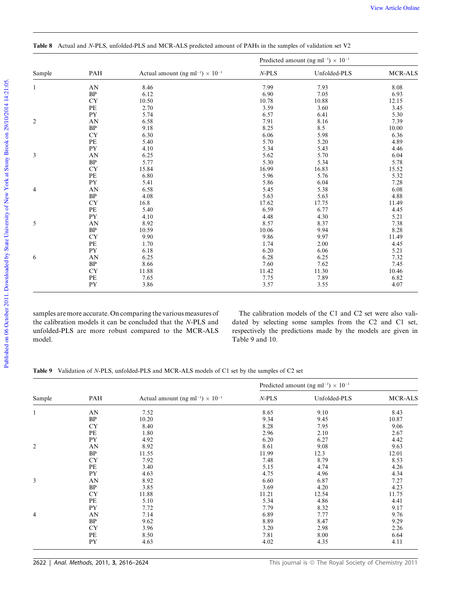|                | PAH                    |                                                                | Predicted amount (ng ml <sup>-1</sup> ) $\times$ 10 <sup>-1</sup> |              |         |
|----------------|------------------------|----------------------------------------------------------------|-------------------------------------------------------------------|--------------|---------|
| Sample         |                        | Actual amount (ng ml <sup>-1</sup> ) $\times$ 10 <sup>-1</sup> | $N$ -PLS $\,$                                                     | Unfolded-PLS | MCR-ALS |
| 1              | AN                     | 8.46                                                           | 7.99                                                              | 7.93         | 8.08    |
|                | <b>BP</b>              | 6.12                                                           | 6.90                                                              | 7.05         | 6.93    |
|                | <b>CY</b>              | 10.50                                                          | 10.78                                                             | 10.88        | 12.15   |
|                | PE                     | 2.70                                                           | 3.59                                                              | 3.60         | 3.45    |
|                | PY                     | 5.74                                                           | 6.57                                                              | 6.41         | 5.30    |
| $\overline{c}$ | AN                     | 6.58                                                           | 7.91                                                              | 8.16         | 7.39    |
|                | BP                     | 9.18                                                           | 8.25                                                              | 8.5          | 10.00   |
|                | <b>CY</b>              | 6.30                                                           | 6.06                                                              | 5.98         | 6.36    |
|                | PE                     | 5.40                                                           | 5.70                                                              | 5.20         | 4.89    |
|                | PY                     | 4.10                                                           | 5.34                                                              | 5.43         | 4.46    |
| 3              | AN                     | 6.25                                                           | 5.62                                                              | 5.70         | 6.04    |
|                | BP                     | 5.77                                                           | 5.30                                                              | 5.34         | 5.78    |
|                | <b>CY</b>              | 15.84                                                          | 16.99                                                             | 16.83        | 15.52   |
|                | PE                     | 6.80                                                           | 5.96                                                              | 5.76         | 5.32    |
|                | PY                     | 5.41                                                           | 5.86                                                              | 6.04         | 7.28    |
| 4              | AN                     | 6.58                                                           | 5.45                                                              | 5.38         | 6.08    |
|                | BP                     | 4.08                                                           | 5.63                                                              | 5.63         | 4.88    |
|                | <b>CY</b>              | 16.8                                                           | 17.62                                                             | 17.75        | 11.49   |
|                | PE                     | 5.40                                                           | 6.59                                                              | 6.77         | 4.45    |
|                | PY                     | 4.10                                                           | 4.48                                                              | 4.30         | 5.21    |
| 5              | AN                     | 8.92                                                           | 8.57                                                              | 8.37         | 7.38    |
|                | BP                     | 10.59                                                          | $10.06\,$                                                         | 9.94         | 8.28    |
|                | <b>CY</b>              | 9.90                                                           | 9.86                                                              | 9.97         | 11.49   |
|                | PE                     | 1.70                                                           | 1.74                                                              | 2.00         | 4.45    |
|                | PY                     | 6.18                                                           | 6.20                                                              | 6.06         | 5.21    |
| 6              | $\mathbf{A}\mathbf{N}$ | 6.25                                                           | 6.28                                                              | 6.25         | 7.32    |
|                | <b>BP</b>              | 8.66                                                           | 7.60                                                              | 7.62         | 7.45    |
|                | <b>CY</b>              | 11.88                                                          | 11.42                                                             | 11.30        | 10.46   |
|                | PE                     | 7.65                                                           | 7.75                                                              | 7.89         | 6.82    |
|                | PY                     | 3.86                                                           | 3.57                                                              | 3.55         | 4.07    |

Table 8 Actual and *N*-PLS, unfolded-PLS and MCR-ALS predicted amount of PAHs in the samples of validation set V2

samples are more accurate. On comparing the various measures of the calibration models it can be concluded that the *N*-PLS and unfolded-PLS are more robust compared to the MCR-ALS model.

The calibration models of the C1 and C2 set were also validated by selecting some samples from the C2 and C1 set, respectively the predictions made by the models are given in Table 9 and 10.

Table 9 Validation of *N*-PLS, unfolded-PLS and MCR-ALS models of C1 set by the samples of C2 set

| Sample | PAH       |                                                                | Predicted amount (ng ml <sup>-1</sup> ) $\times$ 10 <sup>-1</sup> |              |                |
|--------|-----------|----------------------------------------------------------------|-------------------------------------------------------------------|--------------|----------------|
|        |           | Actual amount (ng ml <sup>-1</sup> ) $\times$ 10 <sup>-1</sup> | $N$ -PLS                                                          | Unfolded-PLS | <b>MCR-ALS</b> |
| 1      | AN        | 7.52                                                           | 8.65                                                              | 9.10         | 8.43           |
|        | <b>BP</b> | 10.20                                                          | 9.34                                                              | 9.45         | 10.87          |
|        | <b>CY</b> | 8.40                                                           | 8.28                                                              | 7.95         | 9.06           |
|        | PE        | 1.80                                                           | 2.96                                                              | 2.10         | 2.67           |
|        | PY        | 4.92                                                           | 6.20                                                              | 6.27         | 4.42           |
| 2      | AN        | 8.92                                                           | 8.61                                                              | 9.08         | 9.63           |
|        | BP        | 11.55                                                          | 11.99                                                             | 12.3         | 12.01          |
|        | <b>CY</b> | 7.92                                                           | 7.48                                                              | 8.79         | 8.53           |
|        | PE        | 3.40                                                           | 5.15                                                              | 4.74         | 4.26           |
|        | PY        | 4.63                                                           | 4.75                                                              | 4.96         | 4.34           |
| 3      | AN        | 8.92                                                           | 6.60                                                              | 6.87         | 7.27           |
|        | BP        | 3.85                                                           | 3.69                                                              | 4.20         | 4.23           |
|        | <b>CY</b> | 11.88                                                          | 11.21                                                             | 12.54        | 11.75          |
|        | PE        | 5.10                                                           | 5.34                                                              | 4.86         | 4.41           |
|        | PY        | 7.72                                                           | 7.79                                                              | 8.32         | 9.17           |
| 4      | AN        | 7.14                                                           | 6.89                                                              | 7.77         | 9.76           |
|        | BP        | 9.62                                                           | 8.89                                                              | 8.47         | 9.29           |
|        | <b>CY</b> | 3.96                                                           | 3.20                                                              | 2.98         | 2.26           |
|        | PE        | 8.50                                                           | 7.81                                                              | 8.00         | 6.64           |
|        | PY        | 4.63                                                           | 4.02                                                              | 4.35         | 4.11           |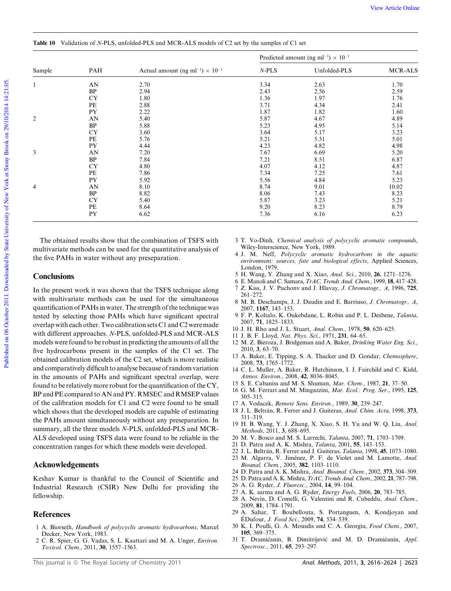|              |           |                                                                | Predicted amount (ng ml <sup>-1</sup> ) $\times$ 10 <sup>-1</sup> |              |         |
|--------------|-----------|----------------------------------------------------------------|-------------------------------------------------------------------|--------------|---------|
| Sample       | PAH       | Actual amount (ng ml <sup>-1</sup> ) $\times$ 10 <sup>-1</sup> | $N$ -PLS                                                          | Unfolded-PLS | MCR-ALS |
| $\mathbf{1}$ | AN        | 2.70                                                           | 3.34                                                              | 2.63         | 1.70    |
|              | BP        | 2.94                                                           | 2.43                                                              | 2.56         | 2.59    |
|              | <b>CY</b> | 1.80                                                           | 1.36                                                              | 1.97         | 1.76    |
|              | PE        | 2.88                                                           | 3.71                                                              | 4.34         | 2.41    |
|              | <b>PY</b> | 2.22                                                           | 1.87                                                              | 1.82         | 1.60    |
| 2            | AN        | 5.40                                                           | 5.87                                                              | 4.67         | 4.89    |
|              | <b>BP</b> | 5.88                                                           | 5.23                                                              | 4.95         | 5.14    |
|              | <b>CY</b> | 3.60                                                           | 3.64                                                              | 5.17         | 3.23    |
|              | PE        | 5.76                                                           | 5.21                                                              | 5.31         | 5.01    |
|              | PY        | 4.44                                                           | 4.23                                                              | 4.82         | 4.98    |
| 3            | AN        | 7.20                                                           | 7.67                                                              | 6.69         | 5.20    |
|              | <b>BP</b> | 7.84                                                           | 7.21                                                              | 8.51         | 6.87    |
|              | <b>CY</b> | 4.80                                                           | 4.07                                                              | 4.12         | 4.87    |
|              | PE        | 7.86                                                           | 7.34                                                              | 7.25         | 7.61    |
|              | <b>PY</b> | 5.92                                                           | 5.56                                                              | 4.84         | 5.23    |
| 4            | AN        | 8.10                                                           | 8.74                                                              | 9.01         | 10.02   |
|              | BP        | 8.82                                                           | 8.06                                                              | 7.43         | 8.23    |
|              | <b>CY</b> | 5.40                                                           | 5.87                                                              | 3.23         | 5.21    |
|              | PE        | 8.64                                                           | 9.20                                                              | 8.23         | 8.79    |
|              | PY        | 6.62                                                           | 7.36                                                              | 6.16         | 6.23    |

Table 10 Validation of *N*-PLS, unfolded-PLS and MCR-ALS models of C2 set by the samples of C1 set

The obtained results show that the combination of TSFS with multivariate methods can be used for the quantitative analysis of the five PAHs in water without any preseparation.

# **Conclusions**

In the present work it was shown that the TSFS technique along with multivariate methods can be used for the simultaneous quantification of PAHs in water. The strength of the technique was tested by selecting those PAHs which have significant spectral overlap with each other. Two calibration sets C1 and C2 weremade with different approaches. *N*-PLS, unfolded-PLS and MCR-ALS models were found to be robust in predicting the amounts of all the five hydrocarbons present in the samples of the C1 set. The obtained calibration models of the C2 set, which is more realistic and comparatively difficult to analyse because of random variation in the amounts of PAHs and significant spectral overlap, were found to be relatively more robust for the quantification of the CY, BP and PE compared to AN and PY. RMSEC and RMSEP values of the calibration models for C1 and C2 were found to be small which shows that the developed models are capable of estimating the PAHs amount simultaneously without any preseparation. In summary, all the three models *N*-PLS, unfolded-PLS and MCR-ALS developed using TSFS data were found to be reliable in the concentration ranges for which these models were developed.

# Acknowledgements

Keshav Kumar is thankful to the Council of Scientific and Industrial Research (CSIR) New Delhi for providing the fellowship.

# References

- 1 A. Biorseth, *Handbook of polycyclic aromatic hydrocarbons*, Marcel Decker, New York, 1983.
- 2 C. R. Spier, G. G. Vadas, S. L. Kaattari and M. A. Unger, *Environ. Toxicol. Chem.*, 2011, 30, 1557–1563.
- 3 T. Vo-Dinh, *Chemical analysis of polycyclic aromatic compounds*, Wiley-Interscience, New York, 1989.
- 4 J. M. Neff, *Polycyclic aromatic hydrocarbons in the aquatic environment: sources, fate and biological effects*, Applied Sciences, London, 1979.
- 5 H. Wang, Y. Zhang and X. Xiao, *Anal. Sci.*, 2010, 26, 1271–1276.
- 6 E. Manoli and C. Samara, *TrAC, Trends Anal. Chem.*, 1999, 18, 417–428.
- 7 Z. Kiss, J. V. Puchonv and J. Hlavay, *J. Chromatogr., A*, 1996, 725, 261–272.
- 8 M. B. Deschamps, J. J. Daudin and E. Barriuso, *J. Chromatogr., A*, 2007, 1167, 143–153.
- 9 F. P. Koltalo, K. Oukebdane, L. Robin and P. L. Desbene, *Talanta*, 2007, 71, 1825–1833.
- 10 J. H. Rho and J. L. Stuart, *Anal. Chem.*, 1978, 50, 620–625.
- 11 J. B. F. Lloyd, *Nat. Phys. Sci.*, 1971, 231, 64–65.
- 12 M. Z. Bieroza, J. Bridgeman and A. Baker, *Drinking Water Eng. Sci.*, 2010, 3, 63–70.
- 13 A. Baker, E. Tipping, S. A. Thacker and D. Gondar, *Chemosphere*, 2008, 73, 1765–1772.
- 14 C. L. Muller, A. Baker, R. Hutchinson, I. J. Fairchild and C. Kidd, *Atmos. Environ.*, 2008, 42, 8036–8045.
- 15 S. E. Cabaniss and M. S. Shuman, *Mar. Chem.*, 1987, 21, 37–50.
- 16 G. M. Ferrari and M. Mingazzini, *Mar. Ecol.: Prog. Ser.*, 1995, 125, 305–315.
- 17 A. Vodacek, *Remote Sens. Environ.*, 1989, 30, 239–247.
- 18 J. L. Beltran, R. Ferrer and J. Guiteras, *Anal. Chim. Acta*, 1998, 373, 311–319.
- 19 H. B. Wang, Y. J. Zhang, X. Xiao, S. H. Yu and W. Q. Liu, *Anal. Methods*, 2011, 3, 688–695.
- 20 M. V. Bosco and M. S. Larrechi, *Talanta*, 2007, 71, 1703–1709.
- 21 D. Patra and A. K. Mishra, *Talanta*, 2001, 55, 143–153.
- 22 J. L. Beltrán, R. Ferrer and J. Guiteras, *Talanta*, 1998, 45, 1073-1080. 23 M. Algarra, V. Jimenez, P. F. de Violet and M. Lamotte, *Anal.*
- *Bioanal. Chem.*, 2005, 382, 1103–1110.
- 24 D. Patra and A. K. Mishra, *Anal. Bioanal. Chem.*, 2002, 373, 304–309.
- 25 D. Patra and A. K.Mishra,*TrAC, Trends Anal. Chem.*, 2002, 21, 787–798.
- 26 A. G. Ryder, *J. Fluoresc.*, 2004, 14, 99–104.
- 27 A. K. sarma and A. G. Ryder, *Energy Fuels*, 2006, 20, 783–785.
- 28 A. Nevin, D. Comelli, G. Valentini and R. Cubeddu, *Anal. Chem.*, 2009, 81, 1784–1791.
- 29 A. Sahar, T. Boubellouta, S. Portanguen, A. Kondjoyan and EDufour, *J. Food Sci.*, 2009, <sup>74</sup>, 534–539.
- 30 K. I. Poulli, G. A. Mousdis and C. A. Georgiu, *Food Chem.*, 2007, 105, 369–375.
- 31 T. Dramicanin, B. Dimitrijevic and M. D. Dramicanin, *Appl. Spectrosc.*, 2011, 65, 293–297.